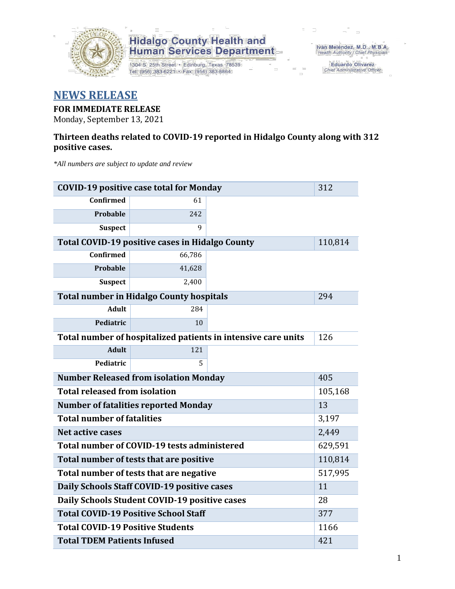

1304 S. 25th Street · Edinburg, Texas 78539 Tel: (956) 383-6221 · Fax: (956) 383-8864

Iván Meléndez, M.D., M.B.A.<br>Health Authority / Chief Physician

Eduardo Olivarez Chief Administrative Officer

#### **NEWS RELEASE**

#### **FOR IMMEDIATE RELEASE**

Monday, September 13, 2021

#### **Thirteen deaths related to COVID-19 reported in Hidalgo County along with 312 positive cases.**

*\*All numbers are subject to update and review*

| <b>COVID-19 positive case total for Monday</b>      | 312                                             |                                                               |         |  |  |  |  |
|-----------------------------------------------------|-------------------------------------------------|---------------------------------------------------------------|---------|--|--|--|--|
| Confirmed                                           | 61                                              |                                                               |         |  |  |  |  |
| Probable                                            | 242                                             |                                                               |         |  |  |  |  |
| <b>Suspect</b>                                      | 9                                               |                                                               |         |  |  |  |  |
|                                                     | Total COVID-19 positive cases in Hidalgo County |                                                               | 110,814 |  |  |  |  |
| Confirmed                                           | 66,786                                          |                                                               |         |  |  |  |  |
| Probable                                            | 41,628                                          |                                                               |         |  |  |  |  |
| <b>Suspect</b>                                      | 2,400                                           |                                                               |         |  |  |  |  |
|                                                     | <b>Total number in Hidalgo County hospitals</b> |                                                               | 294     |  |  |  |  |
| <b>Adult</b>                                        | 284                                             |                                                               |         |  |  |  |  |
| Pediatric                                           | 10                                              |                                                               |         |  |  |  |  |
|                                                     |                                                 | Total number of hospitalized patients in intensive care units | 126     |  |  |  |  |
| <b>Adult</b>                                        | 121                                             |                                                               |         |  |  |  |  |
| Pediatric                                           | 5                                               |                                                               |         |  |  |  |  |
| 405<br><b>Number Released from isolation Monday</b> |                                                 |                                                               |         |  |  |  |  |
| <b>Total released from isolation</b><br>105,168     |                                                 |                                                               |         |  |  |  |  |
| <b>Number of fatalities reported Monday</b><br>13   |                                                 |                                                               |         |  |  |  |  |
| <b>Total number of fatalities</b>                   |                                                 | 3,197                                                         |         |  |  |  |  |
| <b>Net active cases</b>                             |                                                 |                                                               | 2,449   |  |  |  |  |
|                                                     | Total number of COVID-19 tests administered     |                                                               | 629,591 |  |  |  |  |
| Total number of tests that are positive             |                                                 | 110,814                                                       |         |  |  |  |  |
| Total number of tests that are negative             | 517,995                                         |                                                               |         |  |  |  |  |
| Daily Schools Staff COVID-19 positive cases         | 11                                              |                                                               |         |  |  |  |  |
| Daily Schools Student COVID-19 positive cases       | 28                                              |                                                               |         |  |  |  |  |
| <b>Total COVID-19 Positive School Staff</b>         | 377                                             |                                                               |         |  |  |  |  |
| <b>Total COVID-19 Positive Students</b>             |                                                 |                                                               | 1166    |  |  |  |  |
| <b>Total TDEM Patients Infused</b>                  | 421                                             |                                                               |         |  |  |  |  |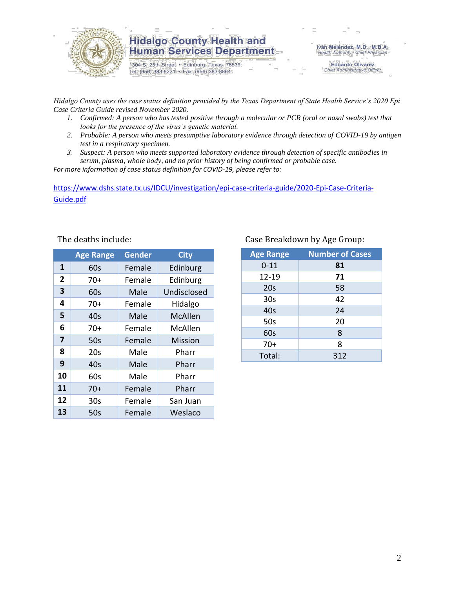

1304 S. 25th Street · Edinburg, Texas 78539 Tel: (956) 383-6221 · Fax: (956) 383-8864

Iván Meléndez, M.D., M.B.A. Health Authority / Chief Physician

> **Eduardo Olivarez** Chief Administrative Officer

*Hidalgo County uses the case status definition provided by the Texas Department of State Health Service's 2020 Epi Case Criteria Guide revised November 2020.*

- *1. Confirmed: A person who has tested positive through a molecular or PCR (oral or nasal swabs) test that looks for the presence of the virus's genetic material.*
- *2. Probable: A person who meets presumptive laboratory evidence through detection of COVID-19 by antigen test in a respiratory specimen.*
- *3. Suspect: A person who meets supported laboratory evidence through detection of specific antibodies in serum, plasma, whole body, and no prior history of being confirmed or probable case.*

*For more information of case status definition for COVID-19, please refer to:*

[https://www.dshs.state.tx.us/IDCU/investigation/epi-case-criteria-guide/2020-Epi-Case-Criteria-](https://www.dshs.state.tx.us/IDCU/investigation/epi-case-criteria-guide/2020-Epi-Case-Criteria-Guide.pdf)[Guide.pdf](https://www.dshs.state.tx.us/IDCU/investigation/epi-case-criteria-guide/2020-Epi-Case-Criteria-Guide.pdf)

|                | <b>Age Range</b> | <b>Gender</b> | <b>City</b>    |
|----------------|------------------|---------------|----------------|
| 1              | 60s              | Female        | Edinburg       |
| $\overline{2}$ | $70+$            | Female        | Edinburg       |
| 3              | 60s              | Male          | Undisclosed    |
| 4              | $70+$            | Female        | Hidalgo        |
| 5              | 40s              | Male          | <b>McAllen</b> |
| 6              | $70+$            | Female        | McAllen        |
| 7              | 50s              | Female        | <b>Mission</b> |
| 8              | 20s              | Male          | Pharr          |
| 9              | 40s              | Male          | Pharr          |
| 10             | 60s              | Male          | Pharr          |
| 11             | $70+$            | Female        | Pharr          |
| 12             | 30 <sub>s</sub>  | Female        | San Juan       |
| 13             | 50s              | Female        | Weslaco        |

#### The deaths include: Case Breakdown by Age Group:

| <b>Age Range</b> | <b>Number of Cases</b> |
|------------------|------------------------|
| $0 - 11$         | 81                     |
| $12 - 19$        | 71                     |
| 20s              | 58                     |
| 30 <sub>s</sub>  | 42                     |
| 40s              | 24                     |
| 50s              | 20                     |
| 60s              | 8                      |
| $70+$            | 8                      |
| Total:           | 312                    |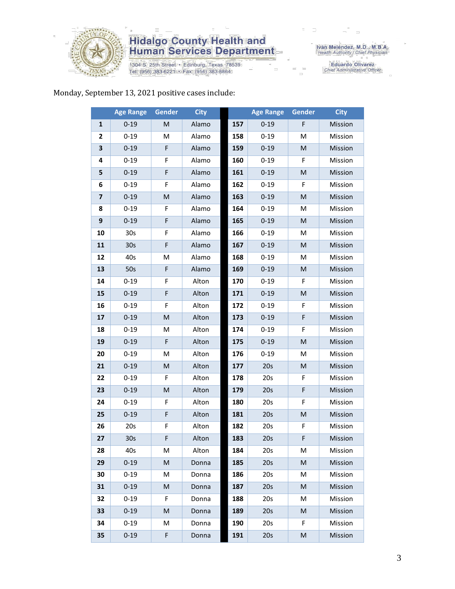

1304 S. 25th Street · Edinburg, Texas 78539 Tel: (956) 383-6221 · Fax: (956) 383-8864

Iván Meléndez, M.D., M.B.A.<br>Health Authority / Chief Physician

Eduardo Olivarez<br>Chief Administrative Officer

#### Monday, September 13, 2021 positive cases include:

|                | <b>Age Range</b> | <b>Gender</b> | <b>City</b> |     | <b>Age Range</b> | Gender | <b>City</b> |
|----------------|------------------|---------------|-------------|-----|------------------|--------|-------------|
| 1              | $0 - 19$         | M             | Alamo       | 157 | $0 - 19$         | F      | Mission     |
| $\overline{2}$ | $0 - 19$         | M             | Alamo       | 158 | $0 - 19$         | M      | Mission     |
| 3              | $0 - 19$         | F             | Alamo       | 159 | $0 - 19$         | M      | Mission     |
| 4              | $0 - 19$         | F             | Alamo       | 160 | $0 - 19$         | F      | Mission     |
| 5              | $0 - 19$         | F             | Alamo       | 161 | $0 - 19$         | M      | Mission     |
| 6              | $0 - 19$         | F             | Alamo       | 162 | $0 - 19$         | F      | Mission     |
| $\overline{7}$ | $0 - 19$         | M             | Alamo       | 163 | $0 - 19$         | M      | Mission     |
| 8              | $0 - 19$         | F             | Alamo       | 164 | $0 - 19$         | М      | Mission     |
| 9              | $0 - 19$         | F             | Alamo       | 165 | $0 - 19$         | M      | Mission     |
| 10             | 30s              | F             | Alamo       | 166 | $0 - 19$         | M      | Mission     |
| 11             | 30 <sub>s</sub>  | F             | Alamo       | 167 | $0 - 19$         | M      | Mission     |
| 12             | 40s              | M             | Alamo       | 168 | $0 - 19$         | M      | Mission     |
| 13             | 50s              | F             | Alamo       | 169 | $0 - 19$         | M      | Mission     |
| 14             | $0 - 19$         | F             | Alton       | 170 | $0 - 19$         | F      | Mission     |
| 15             | $0 - 19$         | F             | Alton       | 171 | $0 - 19$         | M      | Mission     |
| 16             | $0 - 19$         | F             | Alton       | 172 | $0 - 19$         | F      | Mission     |
| 17             | $0 - 19$         | M             | Alton       | 173 | $0 - 19$         | F      | Mission     |
| 18             | $0 - 19$         | M             | Alton       | 174 | $0 - 19$         | F      | Mission     |
| 19             | $0 - 19$         | F             | Alton       | 175 | $0 - 19$         | M      | Mission     |
| 20             | $0 - 19$         | M             | Alton       | 176 | $0 - 19$         | M      | Mission     |
| 21             | $0 - 19$         | M             | Alton       | 177 | 20s              | M      | Mission     |
| 22             | $0 - 19$         | F             | Alton       | 178 | 20s              | F      | Mission     |
| 23             | $0 - 19$         | M             | Alton       | 179 | 20s              | F      | Mission     |
| 24             | $0 - 19$         | F             | Alton       | 180 | 20s              | F      | Mission     |
| 25             | $0 - 19$         | F             | Alton       | 181 | 20s              | M      | Mission     |
| 26             | 20s              | F             | Alton       | 182 | 20s              | F      | Mission     |
| 27             | 30s              | F             | Alton       | 183 | 20s              | F      | Mission     |
| 28             | 40s              | M             | Alton       | 184 | 20s              | М      | Mission     |
| 29             | $0 - 19$         | ${\sf M}$     | Donna       | 185 | 20s              | M      | Mission     |
| 30             | $0 - 19$         | M             | Donna       | 186 | 20s              | M      | Mission     |
| 31             | $0 - 19$         | M             | Donna       | 187 | 20s              | M      | Mission     |
| 32             | $0 - 19$         | F             | Donna       | 188 | 20s              | М      | Mission     |
| 33             | $0 - 19$         | M             | Donna       | 189 | 20s              | M      | Mission     |
| 34             | $0 - 19$         | M             | Donna       | 190 | 20s              | F      | Mission     |
| 35             | $0 - 19$         | F             | Donna       | 191 | 20s              | M      | Mission     |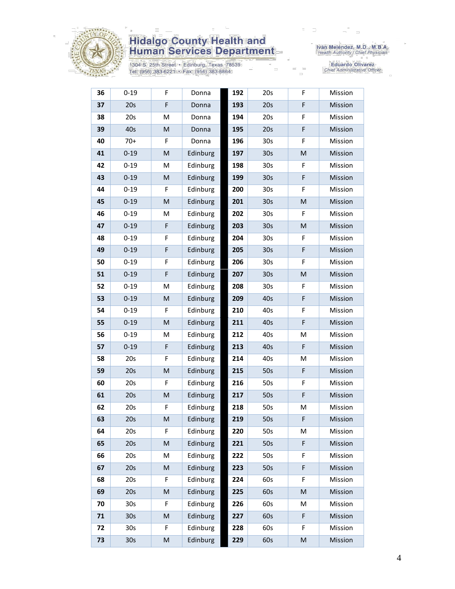

1304 S. 25th Street • Edinburg, Texas 78539<br>Tel: (956) 383-6221 • Fax: (956) 383-8864

Iván Meléndez, M.D., M.B.A.<br>Health Authority / Chief Physician

Eduardo Olivarez<br>Chief Administrative Officer

| 36 | $0 - 19$        | F                                                                                                          | Donna    | 192 | 20s             | F | Mission |
|----|-----------------|------------------------------------------------------------------------------------------------------------|----------|-----|-----------------|---|---------|
| 37 | 20s             | F                                                                                                          | Donna    | 193 | 20s             | F | Mission |
| 38 | 20s             | M                                                                                                          | Donna    | 194 | 20s             | F | Mission |
| 39 | 40s             | M                                                                                                          | Donna    | 195 | 20s             | F | Mission |
| 40 | $70+$           | F                                                                                                          | Donna    | 196 | 30 <sub>s</sub> | F | Mission |
| 41 | $0 - 19$        | M                                                                                                          | Edinburg | 197 | 30 <sub>s</sub> | M | Mission |
| 42 | $0 - 19$        | M                                                                                                          | Edinburg | 198 | 30 <sub>s</sub> | F | Mission |
| 43 | $0 - 19$        | M                                                                                                          | Edinburg | 199 | 30 <sub>s</sub> | F | Mission |
| 44 | $0 - 19$        | F                                                                                                          | Edinburg | 200 | 30 <sub>s</sub> | F | Mission |
| 45 | $0 - 19$        | M                                                                                                          | Edinburg | 201 | 30 <sub>s</sub> | M | Mission |
| 46 | $0 - 19$        | M                                                                                                          | Edinburg | 202 | 30 <sub>s</sub> | F | Mission |
| 47 | $0 - 19$        | F                                                                                                          | Edinburg | 203 | 30 <sub>s</sub> | M | Mission |
| 48 | $0 - 19$        | F                                                                                                          | Edinburg | 204 | 30 <sub>s</sub> | F | Mission |
| 49 | $0 - 19$        | F                                                                                                          | Edinburg | 205 | 30 <sub>s</sub> | F | Mission |
| 50 | $0 - 19$        | F                                                                                                          | Edinburg | 206 | 30 <sub>s</sub> | F | Mission |
| 51 | $0 - 19$        | F                                                                                                          | Edinburg | 207 | 30 <sub>s</sub> | M | Mission |
| 52 | $0 - 19$        | M                                                                                                          | Edinburg | 208 | 30 <sub>s</sub> | F | Mission |
| 53 | $0 - 19$        | M                                                                                                          | Edinburg | 209 | 40s             | F | Mission |
| 54 | $0 - 19$        | F                                                                                                          | Edinburg | 210 | 40s             | F | Mission |
| 55 | $0 - 19$        | M                                                                                                          | Edinburg | 211 | 40s             | F | Mission |
| 56 | $0 - 19$        | M                                                                                                          | Edinburg | 212 | 40s             | Μ | Mission |
| 57 | $0 - 19$        | F                                                                                                          | Edinburg | 213 | 40s             | F | Mission |
| 58 | 20s             | F                                                                                                          | Edinburg | 214 | 40s             | Μ | Mission |
| 59 | 20s             | M                                                                                                          | Edinburg | 215 | 50s             | F | Mission |
| 60 | 20s             | F                                                                                                          | Edinburg | 216 | 50s             | F | Mission |
| 61 | 20s             | M                                                                                                          | Edinburg | 217 | 50s             | F | Mission |
| 62 | 20s             | F                                                                                                          | Edinburg | 218 | 50s             | М | Mission |
| 63 | 20s             | M                                                                                                          | Edinburg | 219 | 50s             | F | Mission |
| 64 | 20s             | F                                                                                                          | Edinburg | 220 | 50s             | M | Mission |
| 65 | 20s             | $\mathsf{M}% _{T}=\mathsf{M}_{T}\!\left( a,b\right) ,\ \mathsf{M}_{T}=\mathsf{M}_{T}\!\left( a,b\right) ,$ | Edinburg | 221 | 50s             | F | Mission |
| 66 | 20s             | M                                                                                                          | Edinburg | 222 | 50s             | F | Mission |
| 67 | 20s             | M                                                                                                          | Edinburg | 223 | 50s             | F | Mission |
| 68 | 20s             | F                                                                                                          | Edinburg | 224 | 60s             | F | Mission |
| 69 | 20s             | ${\sf M}$                                                                                                  | Edinburg | 225 | 60s             | M | Mission |
| 70 | 30 <sub>s</sub> | F                                                                                                          | Edinburg | 226 | 60s             | Μ | Mission |
| 71 | 30 <sub>s</sub> | $\mathsf{M}% _{T}=\mathsf{M}_{T}\!\left( a,b\right) ,\ \mathsf{M}_{T}=\mathsf{M}_{T}\!\left( a,b\right) ,$ | Edinburg | 227 | 60s             | F | Mission |
| 72 | 30 <sub>s</sub> | F                                                                                                          | Edinburg | 228 | 60s             | F | Mission |
| 73 | 30s             | ${\sf M}$                                                                                                  | Edinburg | 229 | 60s             | M | Mission |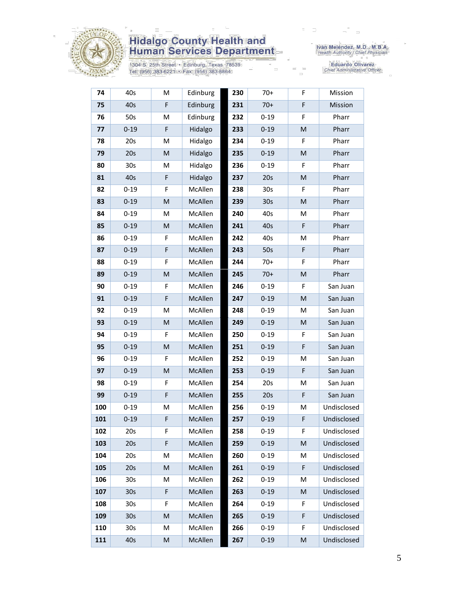

1304 S. 25th Street • Edinburg, Texas 78539<br>Tel: (956) 383-6221 • Fax: (956) 383-8864

Iván Meléndez, M.D., M.B.A.<br>Health Authority / Chief Physician

Eduardo Olivarez<br>Chief Administrative Officer

| 74  | 40s             | M           | Edinburg | 230 | $70+$           | F  | Mission     |
|-----|-----------------|-------------|----------|-----|-----------------|----|-------------|
| 75  | 40s             | F           | Edinburg | 231 | $70+$           | F  | Mission     |
| 76  | 50s             | M           | Edinburg | 232 | $0 - 19$        | F  | Pharr       |
| 77  | $0 - 19$        | F           | Hidalgo  | 233 | $0 - 19$        | M  | Pharr       |
| 78  | 20s             | M           | Hidalgo  | 234 | $0 - 19$        | F  | Pharr       |
| 79  | 20s             | M           | Hidalgo  | 235 | $0 - 19$        | M  | Pharr       |
| 80  | 30s             | М           | Hidalgo  | 236 | $0 - 19$        | F  | Pharr       |
| 81  | 40s             | $\mathsf F$ | Hidalgo  | 237 | 20s             | M  | Pharr       |
| 82  | $0 - 19$        | F           | McAllen  | 238 | 30 <sub>s</sub> | F  | Pharr       |
| 83  | $0 - 19$        | M           | McAllen  | 239 | 30 <sub>s</sub> | M  | Pharr       |
| 84  | $0 - 19$        | М           | McAllen  | 240 | 40s             | M  | Pharr       |
| 85  | $0 - 19$        | M           | McAllen  | 241 | 40s             | F  | Pharr       |
| 86  | $0 - 19$        | F           | McAllen  | 242 | 40s             | M  | Pharr       |
| 87  | $0 - 19$        | $\mathsf F$ | McAllen  | 243 | 50s             | F  | Pharr       |
| 88  | $0 - 19$        | F           | McAllen  | 244 | $70+$           | F  | Pharr       |
| 89  | $0 - 19$        | M           | McAllen  | 245 | $70+$           | M  | Pharr       |
| 90  | $0 - 19$        | F           | McAllen  | 246 | $0 - 19$        | F  | San Juan    |
| 91  | $0 - 19$        | F           | McAllen  | 247 | $0 - 19$        | M  | San Juan    |
| 92  | $0 - 19$        | M           | McAllen  | 248 | $0 - 19$        | M  | San Juan    |
| 93  | $0 - 19$        | M           | McAllen  | 249 | $0 - 19$        | M  | San Juan    |
| 94  | $0 - 19$        | F           | McAllen  | 250 | $0 - 19$        | F  | San Juan    |
| 95  | $0 - 19$        | M           | McAllen  | 251 | $0 - 19$        | F  | San Juan    |
| 96  | $0 - 19$        | F           | McAllen  | 252 | $0 - 19$        | M  | San Juan    |
| 97  | $0 - 19$        | M           | McAllen  | 253 | $0 - 19$        | F  | San Juan    |
| 98  | $0 - 19$        | F           | McAllen  | 254 | 20s             | M  | San Juan    |
| 99  | $0 - 19$        | F           | McAllen  | 255 | 20s             | F  | San Juan    |
| 100 | $0 - 19$        | M           | McAllen  | 256 | $0 - 19$        | M  | Undisclosed |
| 101 | $0 - 19$        | F           | McAllen  | 257 | $0 - 19$        | F  | Undisclosed |
| 102 | 20s             | F           | McAllen  | 258 | $0 - 19$        | F. | Undisclosed |
| 103 | 20s             | F           | McAllen  | 259 | $0 - 19$        | M  | Undisclosed |
| 104 | 20s             | Μ           | McAllen  | 260 | $0 - 19$        | Μ  | Undisclosed |
| 105 | 20s             | M           | McAllen  | 261 | $0 - 19$        | F  | Undisclosed |
| 106 | 30 <sub>s</sub> | M           | McAllen  | 262 | $0 - 19$        | M  | Undisclosed |
| 107 | 30 <sub>s</sub> | F           | McAllen  | 263 | $0 - 19$        | M  | Undisclosed |
| 108 | 30 <sub>s</sub> | F           | McAllen  | 264 | $0 - 19$        | F. | Undisclosed |
| 109 | 30 <sub>s</sub> | M           | McAllen  | 265 | $0 - 19$        | F  | Undisclosed |
| 110 | 30 <sub>s</sub> | M           | McAllen  | 266 | $0 - 19$        | F  | Undisclosed |
| 111 | 40s             | M           | McAllen  | 267 | $0 - 19$        | M  | Undisclosed |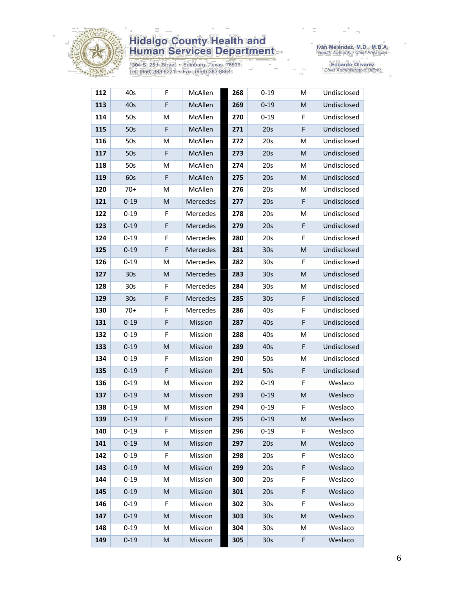

1304 S. 25th Street · Edinburg, Texas 78539 Tel: (956) 383-6221 • Fax: (956) 383-8864

Iván Meléndez, M.D., M.B.A.<br>Health Authority / Chief Physician

Eduardo Olivarez<br>Chief Administrative Officer

| 112 | 40s             | F | McAllen  | 268 | $0 - 19$        | M  | Undisclosed |
|-----|-----------------|---|----------|-----|-----------------|----|-------------|
| 113 | 40s             | F | McAllen  | 269 | $0 - 19$        | M  | Undisclosed |
| 114 | 50s             | M | McAllen  | 270 | $0 - 19$        | F  | Undisclosed |
| 115 | 50s             | F | McAllen  | 271 | 20s             | F  | Undisclosed |
| 116 | 50s             | M | McAllen  | 272 | 20s             | M  | Undisclosed |
| 117 | 50s             | F | McAllen  | 273 | 20s             | M  | Undisclosed |
| 118 | 50s             | M | McAllen  | 274 | 20s             | м  | Undisclosed |
| 119 | 60s             | F | McAllen  | 275 | 20s             | M  | Undisclosed |
| 120 | $70+$           | M | McAllen  | 276 | 20s             | м  | Undisclosed |
| 121 | $0 - 19$        | M | Mercedes | 277 | 20s             | F  | Undisclosed |
| 122 | $0 - 19$        | F | Mercedes | 278 | 20s             | м  | Undisclosed |
| 123 | $0 - 19$        | F | Mercedes | 279 | 20s             | F  | Undisclosed |
| 124 | $0 - 19$        | F | Mercedes | 280 | 20s             | F  | Undisclosed |
| 125 | $0 - 19$        | F | Mercedes | 281 | 30s             | M  | Undisclosed |
| 126 | $0 - 19$        | M | Mercedes | 282 | 30 <sub>s</sub> | F  | Undisclosed |
| 127 | 30s             | M | Mercedes | 283 | 30s             | M  | Undisclosed |
| 128 | 30s             | F | Mercedes | 284 | 30 <sub>s</sub> | M  | Undisclosed |
| 129 | 30 <sub>s</sub> | F | Mercedes | 285 | 30 <sub>s</sub> | F  | Undisclosed |
| 130 | $70+$           | F | Mercedes | 286 | 40s             | F  | Undisclosed |
| 131 | $0 - 19$        | F | Mission  | 287 | 40s             | F  | Undisclosed |
| 132 | $0 - 19$        | F | Mission  | 288 | 40s             | M  | Undisclosed |
| 133 | $0 - 19$        | M | Mission  | 289 | 40s             | F  | Undisclosed |
| 134 | $0 - 19$        | F | Mission  | 290 | 50s             | M  | Undisclosed |
| 135 | $0 - 19$        | F | Mission  | 291 | 50s             | F  | Undisclosed |
| 136 | $0 - 19$        | M | Mission  | 292 | $0 - 19$        | F  | Weslaco     |
| 137 | $0 - 19$        | M | Mission  | 293 | $0 - 19$        | M  | Weslaco     |
| 138 | $0 - 19$        | M | Mission  | 294 | $0 - 19$        | F  | Weslaco     |
| 139 | $0 - 19$        | F | Mission  | 295 | $0 - 19$        | M  | Weslaco     |
| 140 | $0 - 19$        | F | Mission  | 296 | $0 - 19$        | F. | Weslaco     |
| 141 | $0 - 19$        | M | Mission  | 297 | 20s             | M  | Weslaco     |
| 142 | $0 - 19$        | F | Mission  | 298 | 20s             | F  | Weslaco     |
| 143 | $0 - 19$        | M | Mission  | 299 | 20s             | F  | Weslaco     |
| 144 | $0 - 19$        | М | Mission  | 300 | 20s             | F  | Weslaco     |
| 145 | $0 - 19$        | M | Mission  | 301 | 20s             | F  | Weslaco     |
| 146 | $0 - 19$        | F | Mission  | 302 | 30 <sub>s</sub> | F  | Weslaco     |
| 147 | $0 - 19$        | M | Mission  | 303 | 30 <sub>s</sub> | M  | Weslaco     |
| 148 | $0 - 19$        | M | Mission  | 304 | 30 <sub>s</sub> | М  | Weslaco     |
| 149 | $0 - 19$        | M | Mission  | 305 | 30 <sub>s</sub> | F  | Weslaco     |